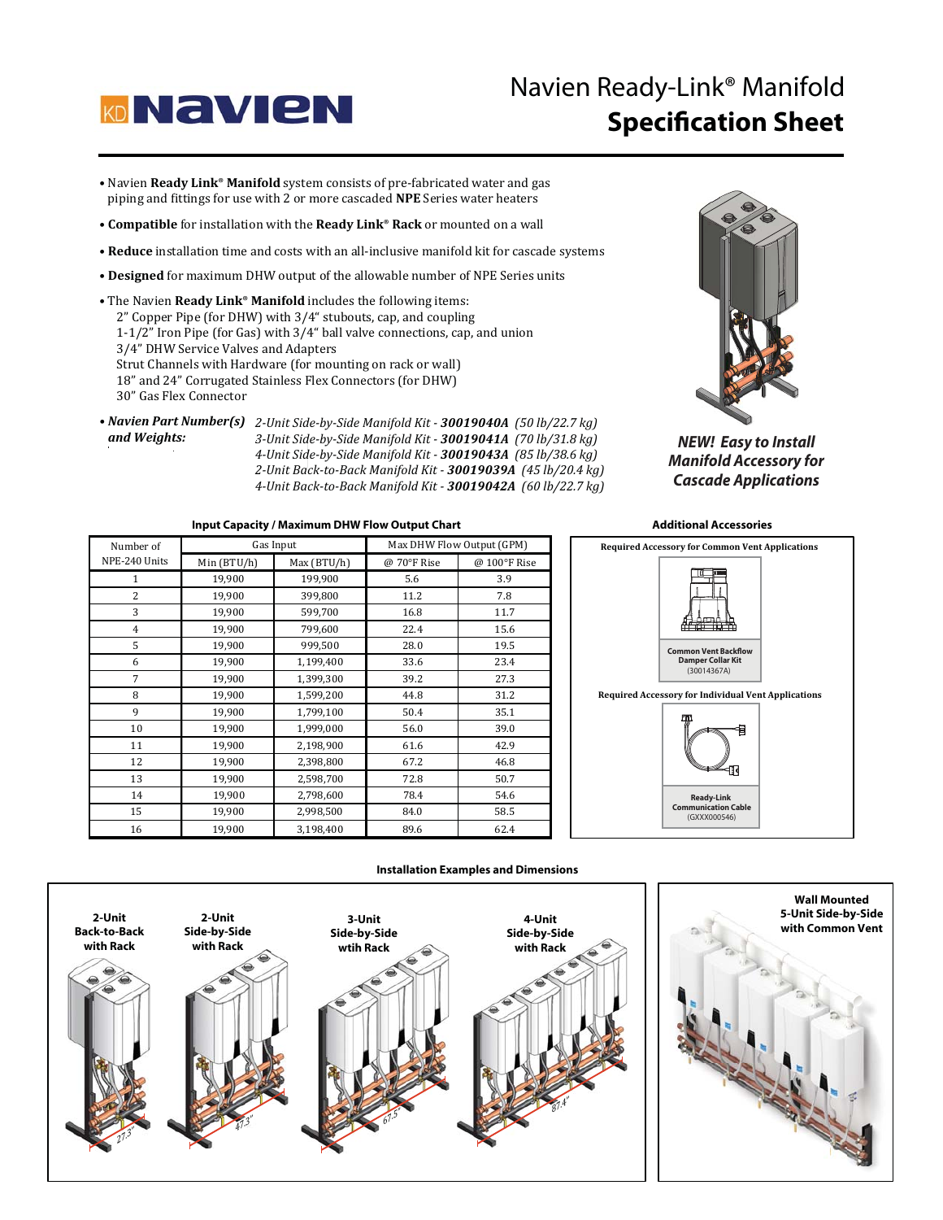

# Navien Ready-Link® Manifold **Specification Sheet**

- **.** Navien Ready Link<sup>®</sup> Manifold system consists of pre-fabricated water and gas Provieti **Ready Link** Manhoid system consists of pre-fabricated water and go piping and fittings for use with 2 or more cascaded **NPE** Series water heaters
- Compatible for installation with the Ready Link® Rack or mounted on a wall
- Reduce installation time and costs with an all-inclusive manifold kit for cascade systems
- Designed for maximum DHW output of the allowable number of NPE Series units
- . The Navien Ready Link<sup>®</sup> Manifold includes the following items: 2" Copper Pipe (for DHW) with 3/4" stubouts, cap, and coupling  $1-1/2$ " Iron Pipe (for Gas) with  $3/4$ " ball valve connections, cap, and union 3/4" DHW Service Valves and Adapters Strut Channels with Hardware (for mounting on rack or wall) 18" and 24" Corrugated Stainless Flex Connectors (for DHW) 30" Gas Flex Connector
- Navien Part Number(s) 2-Unit Side-by-Side Manifold Kit 30019040A (50 lb/22.7 kg) and Weights: *3-Unit Side-by-Side Manifold Kit - (70 lb/31.8 kg) 4-Unit Side-by-Side Manifold Kit - (85 lb/38.6 kg) 2-Unit Back-to-Back Manifold Kit - 30019039A (45 lb/20.4 kg) 4-Unit Back-to-Back Manifold Kit - 30019042A (60 lb/22.7 kg)*



*NEW! Easy to Install Manifold Accessory for Cascade Applications*

### **Input Capacity / Maximum DHW Flow Output Chart**

| Number of      | Gas Input   |             | Max DHW Flow Output (GPM) |              |
|----------------|-------------|-------------|---------------------------|--------------|
| NPE-240 Units  | Min (BTU/h) | Max (BTU/h) | @ 70°F Rise               | @ 100°F Rise |
| $\mathbf{1}$   | 19,900      | 199,900     | 5.6                       | 3.9          |
| $\overline{c}$ | 19,900      | 399,800     | 11.2                      | 7.8          |
| 3              | 19,900      | 599,700     | 16.8                      | 11.7         |
| $\overline{4}$ | 19,900      | 799,600     | 22.4                      | 15.6         |
| 5              | 19,900      | 999,500     | 28.0                      | 19.5         |
| 6              | 19,900      | 1,199,400   | 33.6                      | 23.4         |
| 7              | 19,900      | 1,399,300   | 39.2                      | 27.3         |
| 8              | 19,900      | 1,599,200   | 44.8                      | 31.2         |
| 9              | 19,900      | 1,799,100   | 50.4                      | 35.1         |
| 10             | 19,900      | 1,999,000   | 56.0                      | 39.0         |
| 11             | 19,900      | 2,198,900   | 61.6                      | 42.9         |
| 12             | 19,900      | 2,398,800   | 67.2                      | 46.8         |
| 13             | 19,900      | 2,598,700   | 72.8                      | 50.7         |
| 14             | 19,900      | 2,798,600   | 78.4                      | 54.6         |
| 15             | 19,900      | 2,998,500   | 84.0                      | 58.5         |
| 16             | 19,900      | 3,198,400   | 89.6                      | 62.4         |



#### **Installation Examples and Dimensions**